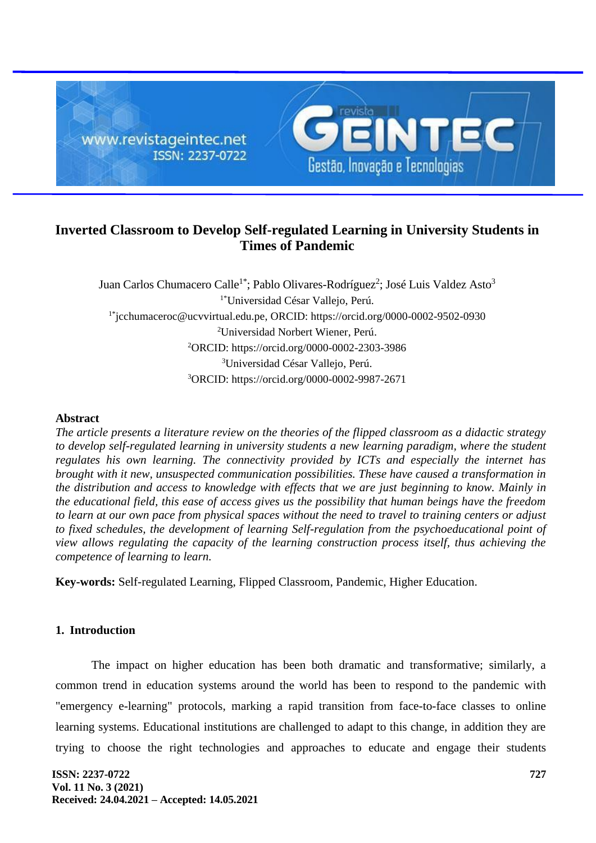

# **Inverted Classroom to Develop Self-regulated Learning in University Students in Times of Pandemic**

Juan Carlos Chumacero Calle<sup>1\*</sup>; Pablo Olivares-Rodríguez<sup>2</sup>; José Luis Valdez Asto<sup>3</sup> 1\*Universidad César Vallejo, Perú. 1\*[jcchumaceroc@ucvvirtual.edu.pe,](mailto:jcchumaceroc@ucvvirtual.edu.pe) ORCID: https://orcid.org/0000-0002-9502-0930 <sup>2</sup>Universidad Norbert Wiener, Perú. <sup>2</sup>ORCID:<https://orcid.org/0000-0002-2303-3986> <sup>3</sup>Universidad César Vallejo, Perú. <sup>3</sup>ORCID: https://orcid.org/0000-0002-9987-2671

# **Abstract**

*The article presents a literature review on the theories of the flipped classroom as a didactic strategy to develop self-regulated learning in university students a new learning paradigm, where the student regulates his own learning. The connectivity provided by ICTs and especially the internet has brought with it new, unsuspected communication possibilities. These have caused a transformation in the distribution and access to knowledge with effects that we are just beginning to know. Mainly in the educational field, this ease of access gives us the possibility that human beings have the freedom to learn at our own pace from physical spaces without the need to travel to training centers or adjust to fixed schedules, the development of learning Self-regulation from the psychoeducational point of view allows regulating the capacity of the learning construction process itself, thus achieving the competence of learning to learn.*

**Key-words:** Self-regulated Learning, Flipped Classroom, Pandemic, Higher Education.

# **1. Introduction**

The impact on higher education has been both dramatic and transformative; similarly, a common trend in education systems around the world has been to respond to the pandemic with "emergency e-learning" protocols, marking a rapid transition from face-to-face classes to online learning systems. Educational institutions are challenged to adapt to this change, in addition they are trying to choose the right technologies and approaches to educate and engage their students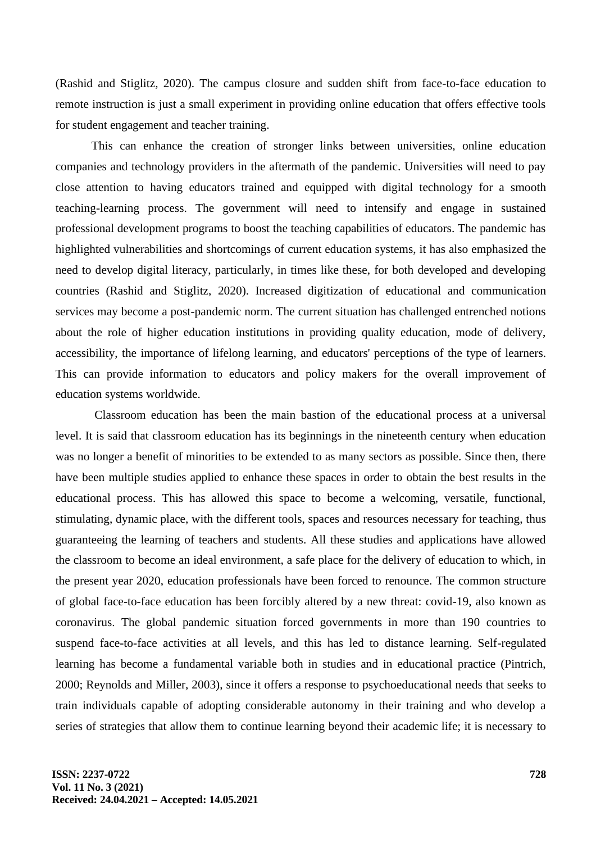(Rashid and Stiglitz, 2020). The campus closure and sudden shift from face-to-face education to remote instruction is just a small experiment in providing online education that offers effective tools for student engagement and teacher training.

This can enhance the creation of stronger links between universities, online education companies and technology providers in the aftermath of the pandemic. Universities will need to pay close attention to having educators trained and equipped with digital technology for a smooth teaching-learning process. The government will need to intensify and engage in sustained professional development programs to boost the teaching capabilities of educators. The pandemic has highlighted vulnerabilities and shortcomings of current education systems, it has also emphasized the need to develop digital literacy, particularly, in times like these, for both developed and developing countries (Rashid and Stiglitz, 2020). Increased digitization of educational and communication services may become a post-pandemic norm. The current situation has challenged entrenched notions about the role of higher education institutions in providing quality education, mode of delivery, accessibility, the importance of lifelong learning, and educators' perceptions of the type of learners. This can provide information to educators and policy makers for the overall improvement of education systems worldwide.

Classroom education has been the main bastion of the educational process at a universal level. It is said that classroom education has its beginnings in the nineteenth century when education was no longer a benefit of minorities to be extended to as many sectors as possible. Since then, there have been multiple studies applied to enhance these spaces in order to obtain the best results in the educational process. This has allowed this space to become a welcoming, versatile, functional, stimulating, dynamic place, with the different tools, spaces and resources necessary for teaching, thus guaranteeing the learning of teachers and students. All these studies and applications have allowed the classroom to become an ideal environment, a safe place for the delivery of education to which, in the present year 2020, education professionals have been forced to renounce. The common structure of global face-to-face education has been forcibly altered by a new threat: covid-19, also known as coronavirus. The global pandemic situation forced governments in more than 190 countries to suspend face-to-face activities at all levels, and this has led to distance learning. Self-regulated learning has become a fundamental variable both in studies and in educational practice (Pintrich, 2000; Reynolds and Miller, 2003), since it offers a response to psychoeducational needs that seeks to train individuals capable of adopting considerable autonomy in their training and who develop a series of strategies that allow them to continue learning beyond their academic life; it is necessary to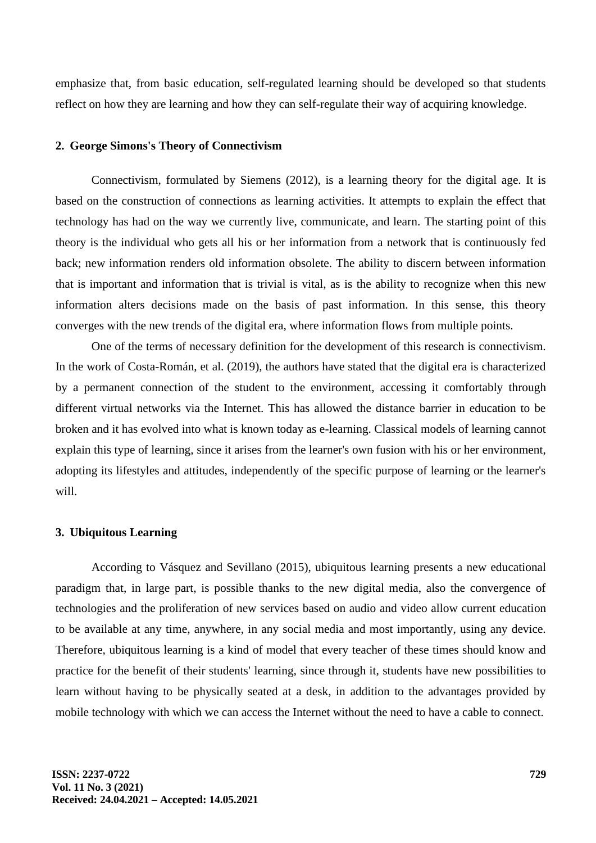emphasize that, from basic education, self-regulated learning should be developed so that students reflect on how they are learning and how they can self-regulate their way of acquiring knowledge.

## **2. George Simons's Theory of Connectivism**

Connectivism, formulated by Siemens (2012), is a learning theory for the digital age. It is based on the construction of connections as learning activities. It attempts to explain the effect that technology has had on the way we currently live, communicate, and learn. The starting point of this theory is the individual who gets all his or her information from a network that is continuously fed back; new information renders old information obsolete. The ability to discern between information that is important and information that is trivial is vital, as is the ability to recognize when this new information alters decisions made on the basis of past information. In this sense, this theory converges with the new trends of the digital era, where information flows from multiple points.

One of the terms of necessary definition for the development of this research is connectivism. In the work of Costa-Román, et al. (2019), the authors have stated that the digital era is characterized by a permanent connection of the student to the environment, accessing it comfortably through different virtual networks via the Internet. This has allowed the distance barrier in education to be broken and it has evolved into what is known today as e-learning. Classical models of learning cannot explain this type of learning, since it arises from the learner's own fusion with his or her environment, adopting its lifestyles and attitudes, independently of the specific purpose of learning or the learner's will.

## **3. Ubiquitous Learning**

According to Vásquez and Sevillano (2015), ubiquitous learning presents a new educational paradigm that, in large part, is possible thanks to the new digital media, also the convergence of technologies and the proliferation of new services based on audio and video allow current education to be available at any time, anywhere, in any social media and most importantly, using any device. Therefore, ubiquitous learning is a kind of model that every teacher of these times should know and practice for the benefit of their students' learning, since through it, students have new possibilities to learn without having to be physically seated at a desk, in addition to the advantages provided by mobile technology with which we can access the Internet without the need to have a cable to connect.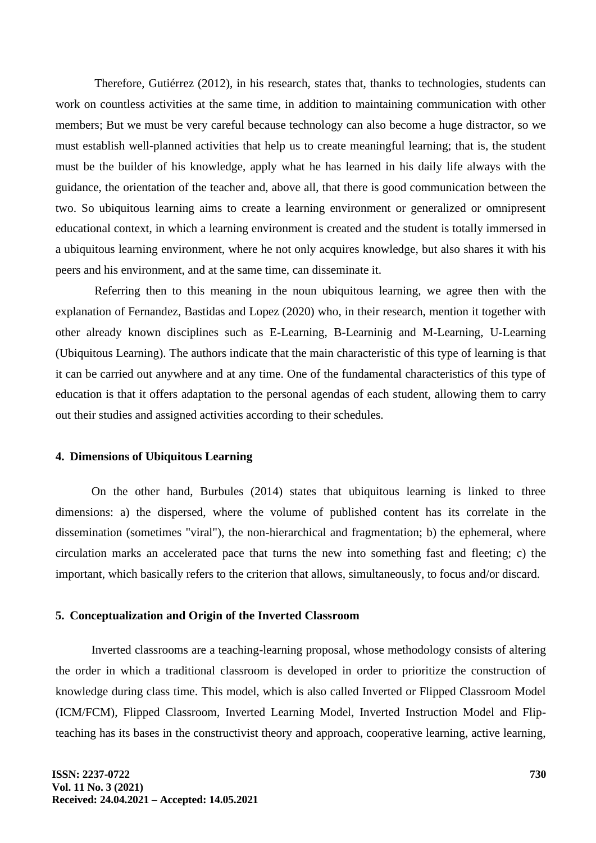Therefore, Gutiérrez (2012), in his research, states that, thanks to technologies, students can work on countless activities at the same time, in addition to maintaining communication with other members; But we must be very careful because technology can also become a huge distractor, so we must establish well-planned activities that help us to create meaningful learning; that is, the student must be the builder of his knowledge, apply what he has learned in his daily life always with the guidance, the orientation of the teacher and, above all, that there is good communication between the two. So ubiquitous learning aims to create a learning environment or generalized or omnipresent educational context, in which a learning environment is created and the student is totally immersed in a ubiquitous learning environment, where he not only acquires knowledge, but also shares it with his peers and his environment, and at the same time, can disseminate it.

Referring then to this meaning in the noun ubiquitous learning, we agree then with the explanation of Fernandez, Bastidas and Lopez (2020) who, in their research, mention it together with other already known disciplines such as E-Learning, B-Learninig and M-Learning, U-Learning (Ubiquitous Learning). The authors indicate that the main characteristic of this type of learning is that it can be carried out anywhere and at any time. One of the fundamental characteristics of this type of education is that it offers adaptation to the personal agendas of each student, allowing them to carry out their studies and assigned activities according to their schedules.

## **4. Dimensions of Ubiquitous Learning**

On the other hand, Burbules (2014) states that ubiquitous learning is linked to three dimensions: a) the dispersed, where the volume of published content has its correlate in the dissemination (sometimes "viral"), the non-hierarchical and fragmentation; b) the ephemeral, where circulation marks an accelerated pace that turns the new into something fast and fleeting; c) the important, which basically refers to the criterion that allows, simultaneously, to focus and/or discard.

#### **5. Conceptualization and Origin of the Inverted Classroom**

Inverted classrooms are a teaching-learning proposal, whose methodology consists of altering the order in which a traditional classroom is developed in order to prioritize the construction of knowledge during class time. This model, which is also called Inverted or Flipped Classroom Model (ICM/FCM), Flipped Classroom, Inverted Learning Model, Inverted Instruction Model and Flipteaching has its bases in the constructivist theory and approach, cooperative learning, active learning,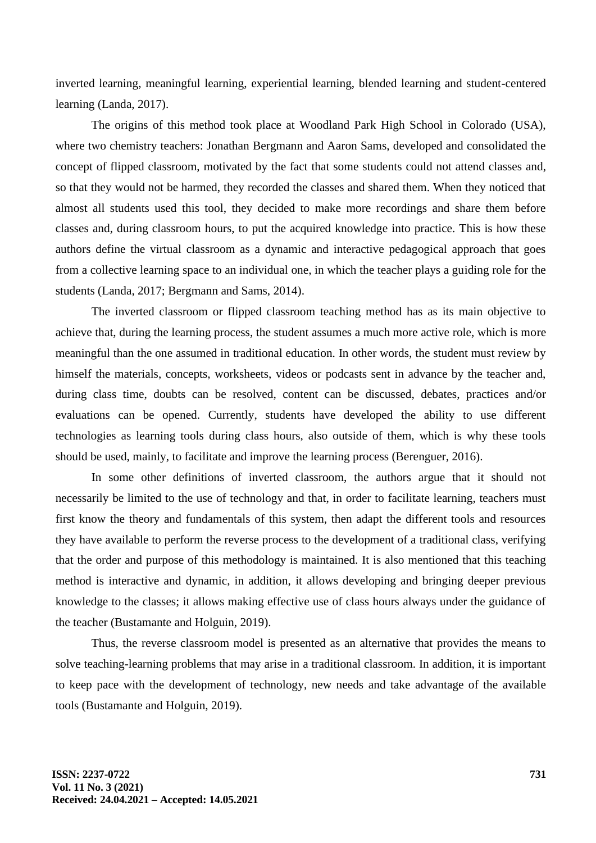inverted learning, meaningful learning, experiential learning, blended learning and student-centered learning (Landa, 2017).

The origins of this method took place at Woodland Park High School in Colorado (USA), where two chemistry teachers: Jonathan Bergmann and Aaron Sams, developed and consolidated the concept of flipped classroom, motivated by the fact that some students could not attend classes and, so that they would not be harmed, they recorded the classes and shared them. When they noticed that almost all students used this tool, they decided to make more recordings and share them before classes and, during classroom hours, to put the acquired knowledge into practice. This is how these authors define the virtual classroom as a dynamic and interactive pedagogical approach that goes from a collective learning space to an individual one, in which the teacher plays a guiding role for the students (Landa, 2017; Bergmann and Sams, 2014).

The inverted classroom or flipped classroom teaching method has as its main objective to achieve that, during the learning process, the student assumes a much more active role, which is more meaningful than the one assumed in traditional education. In other words, the student must review by himself the materials, concepts, worksheets, videos or podcasts sent in advance by the teacher and, during class time, doubts can be resolved, content can be discussed, debates, practices and/or evaluations can be opened. Currently, students have developed the ability to use different technologies as learning tools during class hours, also outside of them, which is why these tools should be used, mainly, to facilitate and improve the learning process (Berenguer, 2016).

In some other definitions of inverted classroom, the authors argue that it should not necessarily be limited to the use of technology and that, in order to facilitate learning, teachers must first know the theory and fundamentals of this system, then adapt the different tools and resources they have available to perform the reverse process to the development of a traditional class, verifying that the order and purpose of this methodology is maintained. It is also mentioned that this teaching method is interactive and dynamic, in addition, it allows developing and bringing deeper previous knowledge to the classes; it allows making effective use of class hours always under the guidance of the teacher (Bustamante and Holguin, 2019).

Thus, the reverse classroom model is presented as an alternative that provides the means to solve teaching-learning problems that may arise in a traditional classroom. In addition, it is important to keep pace with the development of technology, new needs and take advantage of the available tools (Bustamante and Holguin, 2019).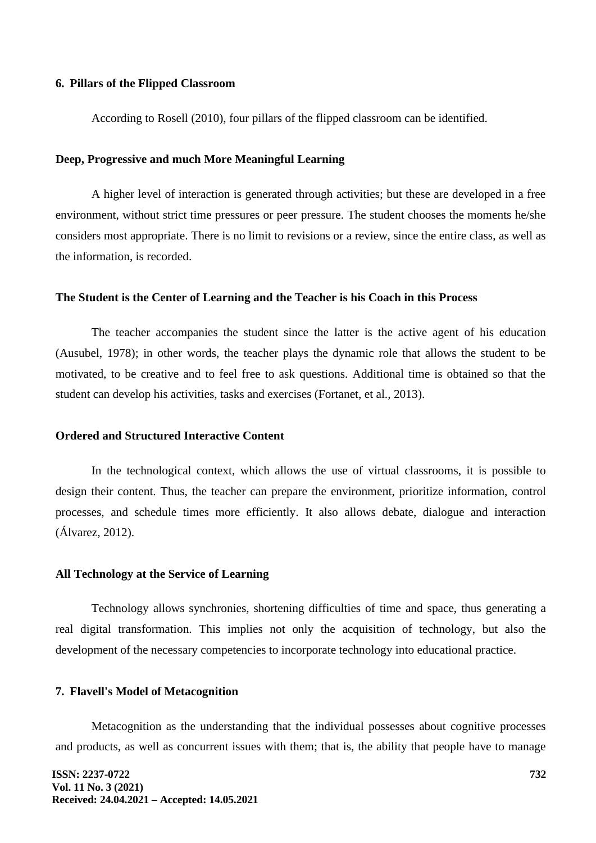## **6. Pillars of the Flipped Classroom**

According to Rosell (2010), four pillars of the flipped classroom can be identified.

#### **Deep, Progressive and much More Meaningful Learning**

A higher level of interaction is generated through activities; but these are developed in a free environment, without strict time pressures or peer pressure. The student chooses the moments he/she considers most appropriate. There is no limit to revisions or a review, since the entire class, as well as the information, is recorded.

#### **The Student is the Center of Learning and the Teacher is his Coach in this Process**

The teacher accompanies the student since the latter is the active agent of his education (Ausubel, 1978); in other words, the teacher plays the dynamic role that allows the student to be motivated, to be creative and to feel free to ask questions. Additional time is obtained so that the student can develop his activities, tasks and exercises (Fortanet, et al., 2013).

# **Ordered and Structured Interactive Content**

In the technological context, which allows the use of virtual classrooms, it is possible to design their content. Thus, the teacher can prepare the environment, prioritize information, control processes, and schedule times more efficiently. It also allows debate, dialogue and interaction (Álvarez, 2012).

# **All Technology at the Service of Learning**

Technology allows synchronies, shortening difficulties of time and space, thus generating a real digital transformation. This implies not only the acquisition of technology, but also the development of the necessary competencies to incorporate technology into educational practice.

## **7. Flavell's Model of Metacognition**

Metacognition as the understanding that the individual possesses about cognitive processes and products, as well as concurrent issues with them; that is, the ability that people have to manage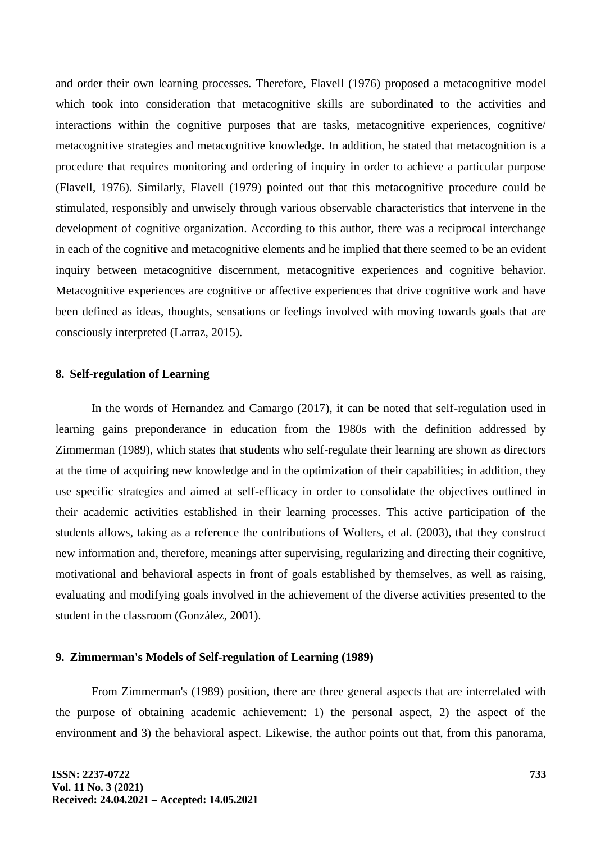and order their own learning processes. Therefore, Flavell (1976) proposed a metacognitive model which took into consideration that metacognitive skills are subordinated to the activities and interactions within the cognitive purposes that are tasks, metacognitive experiences, cognitive/ metacognitive strategies and metacognitive knowledge. In addition, he stated that metacognition is a procedure that requires monitoring and ordering of inquiry in order to achieve a particular purpose (Flavell, 1976). Similarly, Flavell (1979) pointed out that this metacognitive procedure could be stimulated, responsibly and unwisely through various observable characteristics that intervene in the development of cognitive organization. According to this author, there was a reciprocal interchange in each of the cognitive and metacognitive elements and he implied that there seemed to be an evident inquiry between metacognitive discernment, metacognitive experiences and cognitive behavior. Metacognitive experiences are cognitive or affective experiences that drive cognitive work and have been defined as ideas, thoughts, sensations or feelings involved with moving towards goals that are consciously interpreted (Larraz, 2015).

#### **8. Self-regulation of Learning**

In the words of Hernandez and Camargo (2017), it can be noted that self-regulation used in learning gains preponderance in education from the 1980s with the definition addressed by Zimmerman (1989), which states that students who self-regulate their learning are shown as directors at the time of acquiring new knowledge and in the optimization of their capabilities; in addition, they use specific strategies and aimed at self-efficacy in order to consolidate the objectives outlined in their academic activities established in their learning processes. This active participation of the students allows, taking as a reference the contributions of Wolters, et al. (2003), that they construct new information and, therefore, meanings after supervising, regularizing and directing their cognitive, motivational and behavioral aspects in front of goals established by themselves, as well as raising, evaluating and modifying goals involved in the achievement of the diverse activities presented to the student in the classroom (González, 2001).

## **9. Zimmerman's Models of Self-regulation of Learning (1989)**

From Zimmerman's (1989) position, there are three general aspects that are interrelated with the purpose of obtaining academic achievement: 1) the personal aspect, 2) the aspect of the environment and 3) the behavioral aspect. Likewise, the author points out that, from this panorama,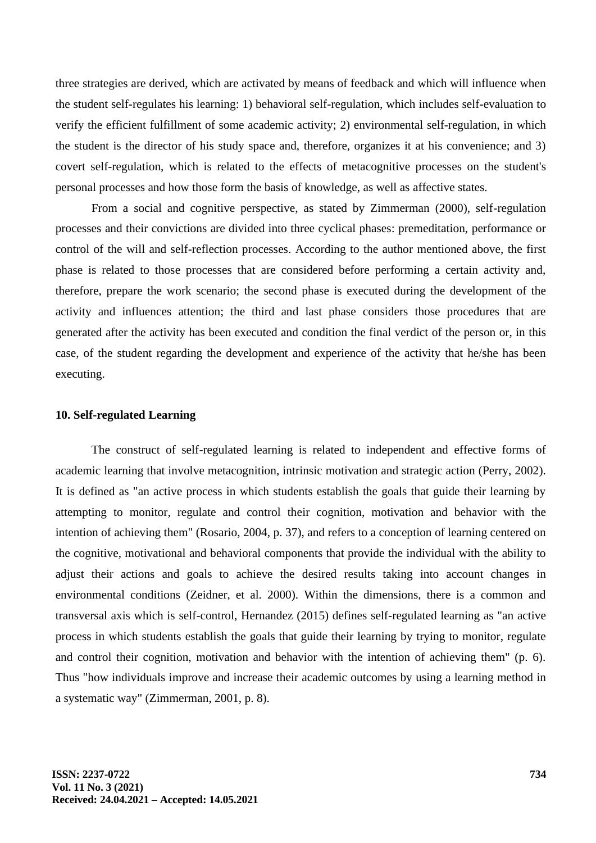three strategies are derived, which are activated by means of feedback and which will influence when the student self-regulates his learning: 1) behavioral self-regulation, which includes self-evaluation to verify the efficient fulfillment of some academic activity; 2) environmental self-regulation, in which the student is the director of his study space and, therefore, organizes it at his convenience; and 3) covert self-regulation, which is related to the effects of metacognitive processes on the student's personal processes and how those form the basis of knowledge, as well as affective states.

From a social and cognitive perspective, as stated by Zimmerman (2000), self-regulation processes and their convictions are divided into three cyclical phases: premeditation, performance or control of the will and self-reflection processes. According to the author mentioned above, the first phase is related to those processes that are considered before performing a certain activity and, therefore, prepare the work scenario; the second phase is executed during the development of the activity and influences attention; the third and last phase considers those procedures that are generated after the activity has been executed and condition the final verdict of the person or, in this case, of the student regarding the development and experience of the activity that he/she has been executing.

## **10. Self-regulated Learning**

The construct of self-regulated learning is related to independent and effective forms of academic learning that involve metacognition, intrinsic motivation and strategic action (Perry, 2002). It is defined as "an active process in which students establish the goals that guide their learning by attempting to monitor, regulate and control their cognition, motivation and behavior with the intention of achieving them" (Rosario, 2004, p. 37), and refers to a conception of learning centered on the cognitive, motivational and behavioral components that provide the individual with the ability to adjust their actions and goals to achieve the desired results taking into account changes in environmental conditions (Zeidner, et al. 2000). Within the dimensions, there is a common and transversal axis which is self-control, Hernandez (2015) defines self-regulated learning as "an active process in which students establish the goals that guide their learning by trying to monitor, regulate and control their cognition, motivation and behavior with the intention of achieving them" (p. 6). Thus "how individuals improve and increase their academic outcomes by using a learning method in a systematic way" (Zimmerman, 2001, p. 8).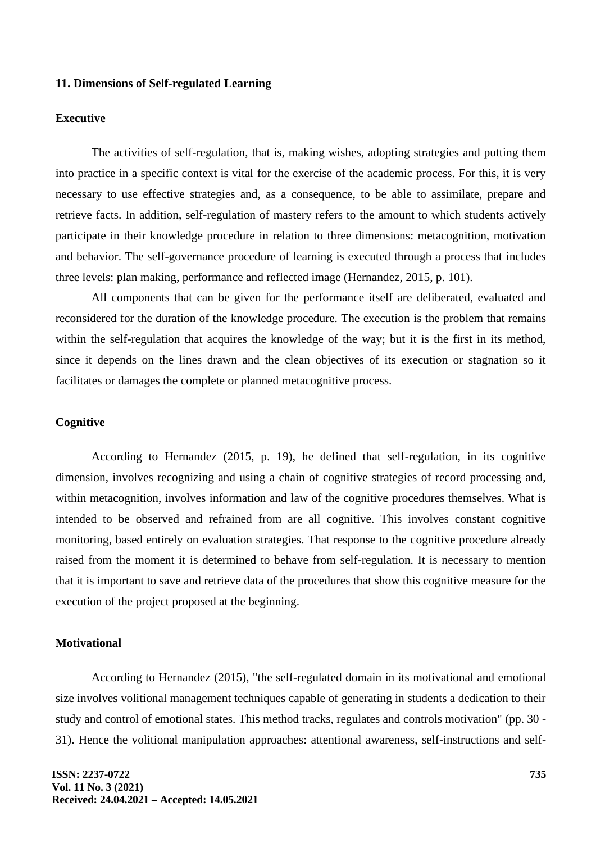# **11. Dimensions of Self-regulated Learning**

# **Executive**

The activities of self-regulation, that is, making wishes, adopting strategies and putting them into practice in a specific context is vital for the exercise of the academic process. For this, it is very necessary to use effective strategies and, as a consequence, to be able to assimilate, prepare and retrieve facts. In addition, self-regulation of mastery refers to the amount to which students actively participate in their knowledge procedure in relation to three dimensions: metacognition, motivation and behavior. The self-governance procedure of learning is executed through a process that includes three levels: plan making, performance and reflected image (Hernandez, 2015, p. 101).

All components that can be given for the performance itself are deliberated, evaluated and reconsidered for the duration of the knowledge procedure. The execution is the problem that remains within the self-regulation that acquires the knowledge of the way; but it is the first in its method, since it depends on the lines drawn and the clean objectives of its execution or stagnation so it facilitates or damages the complete or planned metacognitive process.

# **Cognitive**

According to Hernandez (2015, p. 19), he defined that self-regulation, in its cognitive dimension, involves recognizing and using a chain of cognitive strategies of record processing and, within metacognition, involves information and law of the cognitive procedures themselves. What is intended to be observed and refrained from are all cognitive. This involves constant cognitive monitoring, based entirely on evaluation strategies. That response to the cognitive procedure already raised from the moment it is determined to behave from self-regulation. It is necessary to mention that it is important to save and retrieve data of the procedures that show this cognitive measure for the execution of the project proposed at the beginning.

# **Motivational**

According to Hernandez (2015), "the self-regulated domain in its motivational and emotional size involves volitional management techniques capable of generating in students a dedication to their study and control of emotional states. This method tracks, regulates and controls motivation" (pp. 30 - 31). Hence the volitional manipulation approaches: attentional awareness, self-instructions and self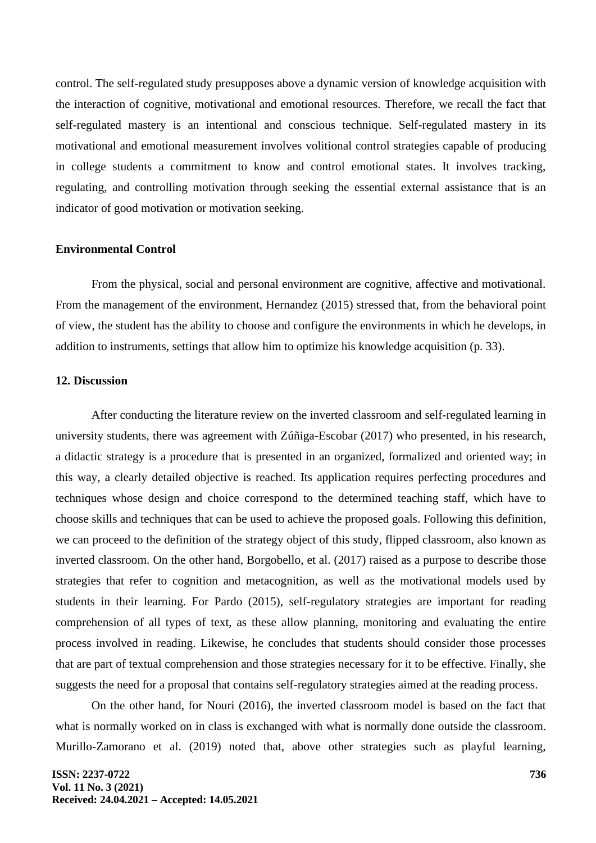control. The self-regulated study presupposes above a dynamic version of knowledge acquisition with the interaction of cognitive, motivational and emotional resources. Therefore, we recall the fact that self-regulated mastery is an intentional and conscious technique. Self-regulated mastery in its motivational and emotional measurement involves volitional control strategies capable of producing in college students a commitment to know and control emotional states. It involves tracking, regulating, and controlling motivation through seeking the essential external assistance that is an indicator of good motivation or motivation seeking.

#### **Environmental Control**

From the physical, social and personal environment are cognitive, affective and motivational. From the management of the environment, Hernandez (2015) stressed that, from the behavioral point of view, the student has the ability to choose and configure the environments in which he develops, in addition to instruments, settings that allow him to optimize his knowledge acquisition (p. 33).

# **12. Discussion**

After conducting the literature review on the inverted classroom and self-regulated learning in university students, there was agreement with Zúñiga-Escobar (2017) who presented, in his research, a didactic strategy is a procedure that is presented in an organized, formalized and oriented way; in this way, a clearly detailed objective is reached. Its application requires perfecting procedures and techniques whose design and choice correspond to the determined teaching staff, which have to choose skills and techniques that can be used to achieve the proposed goals. Following this definition, we can proceed to the definition of the strategy object of this study, flipped classroom, also known as inverted classroom. On the other hand, Borgobello, et al. (2017) raised as a purpose to describe those strategies that refer to cognition and metacognition, as well as the motivational models used by students in their learning. For Pardo (2015), self-regulatory strategies are important for reading comprehension of all types of text, as these allow planning, monitoring and evaluating the entire process involved in reading. Likewise, he concludes that students should consider those processes that are part of textual comprehension and those strategies necessary for it to be effective. Finally, she suggests the need for a proposal that contains self-regulatory strategies aimed at the reading process.

On the other hand, for Nouri (2016), the inverted classroom model is based on the fact that what is normally worked on in class is exchanged with what is normally done outside the classroom. Murillo-Zamorano et al. (2019) noted that, above other strategies such as playful learning,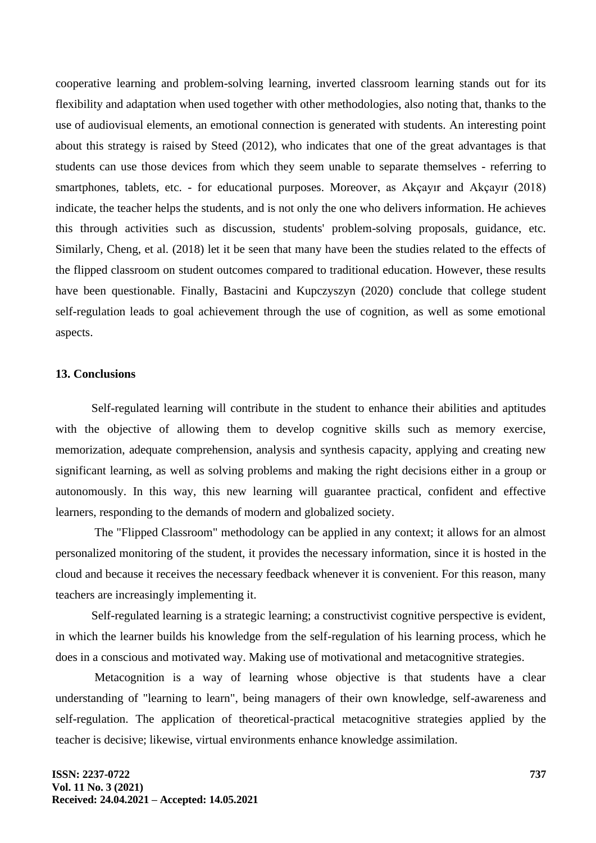cooperative learning and problem-solving learning, inverted classroom learning stands out for its flexibility and adaptation when used together with other methodologies, also noting that, thanks to the use of audiovisual elements, an emotional connection is generated with students. An interesting point about this strategy is raised by Steed (2012), who indicates that one of the great advantages is that students can use those devices from which they seem unable to separate themselves - referring to smartphones, tablets, etc. - for educational purposes. Moreover, as Akçayır and Akçayır (2018) indicate, the teacher helps the students, and is not only the one who delivers information. He achieves this through activities such as discussion, students' problem-solving proposals, guidance, etc. Similarly, Cheng, et al. (2018) let it be seen that many have been the studies related to the effects of the flipped classroom on student outcomes compared to traditional education. However, these results have been questionable. Finally, Bastacini and Kupczyszyn (2020) conclude that college student self-regulation leads to goal achievement through the use of cognition, as well as some emotional aspects.

## **13. Conclusions**

Self-regulated learning will contribute in the student to enhance their abilities and aptitudes with the objective of allowing them to develop cognitive skills such as memory exercise, memorization, adequate comprehension, analysis and synthesis capacity, applying and creating new significant learning, as well as solving problems and making the right decisions either in a group or autonomously. In this way, this new learning will guarantee practical, confident and effective learners, responding to the demands of modern and globalized society.

The "Flipped Classroom" methodology can be applied in any context; it allows for an almost personalized monitoring of the student, it provides the necessary information, since it is hosted in the cloud and because it receives the necessary feedback whenever it is convenient. For this reason, many teachers are increasingly implementing it.

Self-regulated learning is a strategic learning; a constructivist cognitive perspective is evident, in which the learner builds his knowledge from the self-regulation of his learning process, which he does in a conscious and motivated way. Making use of motivational and metacognitive strategies.

Metacognition is a way of learning whose objective is that students have a clear understanding of "learning to learn", being managers of their own knowledge, self-awareness and self-regulation. The application of theoretical-practical metacognitive strategies applied by the teacher is decisive; likewise, virtual environments enhance knowledge assimilation.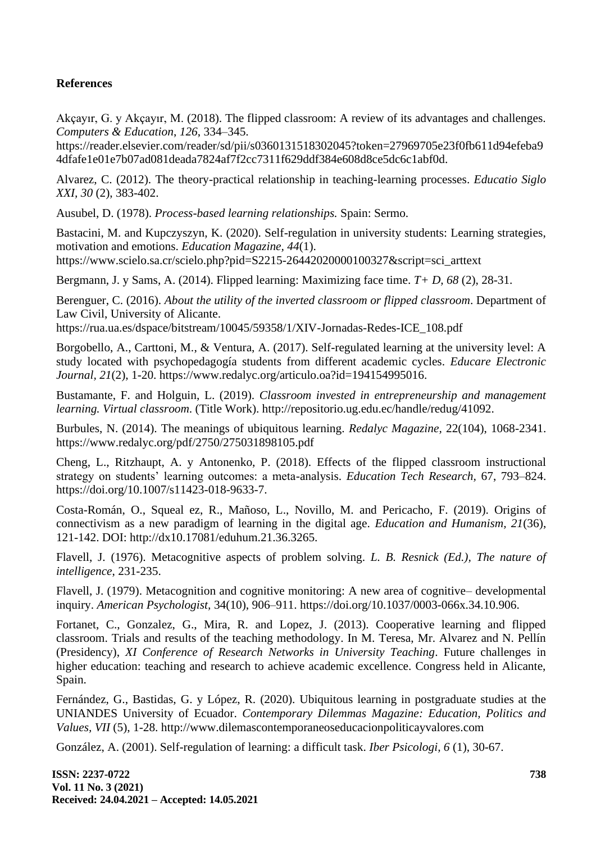# **References**

Akçayır, G. y Akçayır, M. (2018). The flipped classroom: A review of its advantages and challenges. *Computers & Education*, *126*, 334–345.

https://reader.elsevier.com/reader/sd/pii/s0360131518302045?token=27969705e23f0fb611d94efeba9 4dfafe1e01e7b07ad081deada7824af7f2cc7311f629ddf384e608d8ce5dc6c1abf0d.

Alvarez, C. (2012). The theory-practical relationship in teaching-learning processes. *Educatio Siglo XXI, 30* (2), 383-402.

Ausubel, D. (1978). *Process-based learning relationships.* Spain: Sermo.

Bastacini, M. and Kupczyszyn, K. (2020). Self-regulation in university students: Learning strategies, motivation and emotions. *Education Magazine, 44*(1). [https://www.scielo.sa.cr/scielo.php?pid=S2215-26442020000100327&script=sci\\_arttext](https://www.scielo.sa.cr/scielo.php?pid=S2215-26442020000100327&script=sci_arttext)

Bergmann, J. y Sams, A. (2014). Flipped learning: Maximizing face time. *T+ D, 68* (2), 28-31.

Berenguer, C. (2016). *About the utility of the inverted classroom or flipped classroom*. Department of Law Civil, University of Alicante.

https://rua.ua.es/dspace/bitstream/10045/59358/1/XIV-Jornadas-Redes-ICE\_108.pdf

Borgobello, A., Carttoni, M., & Ventura, A. (2017). Self-regulated learning at the university level: A study located with psychopedagogía students from different academic cycles. *Educare Electronic Journal, 21*(2), 1-20. https://www.redalyc.org/articulo.oa?id=194154995016.

Bustamante, F. and Holguin, L. (2019). *Classroom invested in entrepreneurship and management learning. Virtual classroom*. (Title Work). http://repositorio.ug.edu.ec/handle/redug/41092.

Burbules, N. (2014). The meanings of ubiquitous learning. *Redalyc Magazine,* 22(104), 1068-2341. <https://www.redalyc.org/pdf/2750/275031898105.pdf>

Cheng, L., Ritzhaupt, A. y Antonenko, P. (2018). Effects of the flipped classroom instructional strategy on students' learning outcomes: a meta-analysis. *Education Tech Research,* 67, 793–824. https://doi.org/10.1007/s11423-018-9633-7.

Costa-Román, O., Squeal ez, R., Mañoso, L., Novillo, M. and Pericacho, F. (2019). Origins of connectivism as a new paradigm of learning in the digital age. *Education and Humanism, 21*(36), 121-142. DOI: http://dx10.17081/eduhum.21.36.3265.

Flavell, J. (1976). Metacognitive aspects of problem solving. *L. B. Resnick (Ed.), The nature of intelligence*, 231-235.

Flavell, J. (1979). Metacognition and cognitive monitoring: A new area of cognitive– developmental inquiry. *American Psychologist,* 34(10), 906–911. [https://doi.org/10.1037/0003-066x.34.10.906.](https://doi.org/10.1037/0003-066x.34.10.906)

Fortanet, C., Gonzalez, G., Mira, R. and Lopez, J. (2013). Cooperative learning and flipped classroom. Trials and results of the teaching methodology. In M. Teresa, Mr. Alvarez and N. Pellín (Presidency), *XI Conference of Research Networks in University Teaching*. Future challenges in higher education: teaching and research to achieve academic excellence. Congress held in Alicante, Spain.

Fernández, G., Bastidas, G. y López, R. (2020). Ubiquitous learning in postgraduate studies at the UNIANDES University of Ecuador. *Contemporary Dilemmas Magazine: Education, Politics and Values, VII* (5), 1-28. http://www.dilemascontemporaneoseducacionpoliticayvalores.com

González, A. (2001). Self-regulation of learning: a difficult task. *Iber Psicologi, 6* (1), 30-67.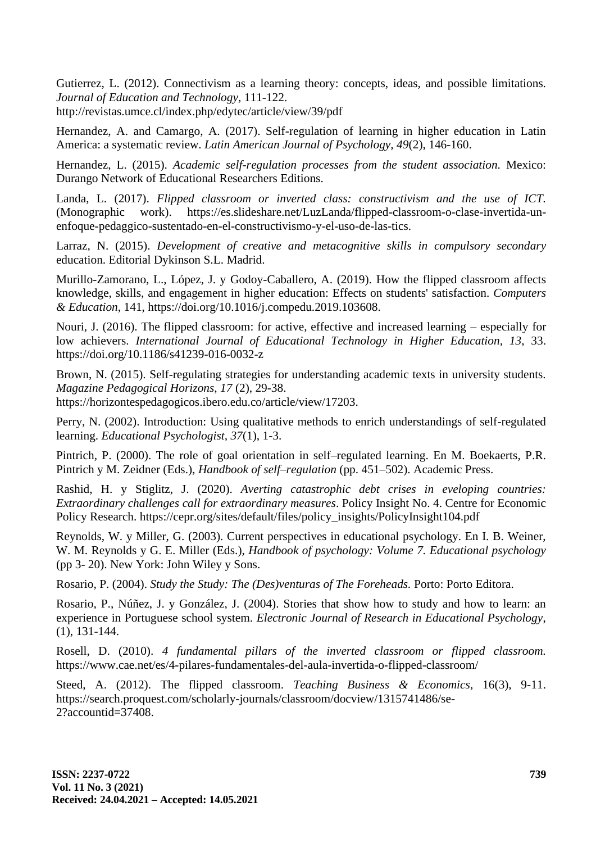Gutierrez, L. (2012). Connectivism as a learning theory: concepts, ideas, and possible limitations. *Journal of Education and Technology,* 111-122.

<http://revistas.umce.cl/index.php/edytec/article/view/39/pdf>

Hernandez, A. and Camargo, A. (2017). Self-regulation of learning in higher education in Latin America: a systematic review. *Latin American Journal of Psychology, 49*(2), 146-160.

Hernandez, L. (2015). *Academic self-regulation processes from the student association.* Mexico: Durango Network of Educational Researchers Editions.

Landa, L. (2017). *Flipped classroom or inverted class: constructivism and the use of ICT.* (Monographic work). https://es.slideshare.net/LuzLanda/flipped-classroom-o-clase-invertida-unenfoque-pedaggico-sustentado-en-el-constructivismo-y-el-uso-de-las-tics.

Larraz, N. (2015). *Development of creative and metacognitive skills in compulsory secondary* education. Editorial Dykinson S.L. Madrid.

Murillo-Zamorano, L., López, J. y Godoy-Caballero, A. (2019). How the flipped classroom affects knowledge, skills, and engagement in higher education: Effects on students' satisfaction. *Computers & Education*, 141, https://doi.org/10.1016/j.compedu.2019.103608.

Nouri, J. (2016). The flipped classroom: for active, effective and increased learning – especially for low achievers. *International Journal of Educational Technology in Higher Education, 13*, 33. https://doi.org/10.1186/s41239-016-0032-z

Brown, N. (2015). Self-regulating strategies for understanding academic texts in university students. *Magazine Pedagogical Horizons, 17* (2), 29-38. https://horizontespedagogicos.ibero.edu.co/article/view/17203.

Perry, N. (2002). Introduction: Using qualitative methods to enrich understandings of self-regulated learning. *Educational Psychologist, 37*(1), 1-3.

Pintrich, P. (2000). The role of goal orientation in self–regulated learning. En M. Boekaerts, P.R. Pintrich y M. Zeidner (Eds.), *Handbook of self–regulation* (pp. 451–502). Academic Press.

Rashid, H. y Stiglitz, J. (2020). *Averting catastrophic debt crises in eveloping countries: Extraordinary challenges call for extraordinary measures*. Policy Insight No. 4. Centre for Economic Policy Research. https://cepr.org/sites/default/files/policy\_insights/PolicyInsight104.pdf

Reynolds, W. y Miller, G. (2003). Current perspectives in educational psychology. En I. B. Weiner, W. M. Reynolds y G. E. Miller (Eds.), *Handbook of psychology: Volume 7. Educational psychology* (pp 3- 20). New York: John Wiley y Sons.

Rosario, P. (2004). *Study the Study: The (Des)venturas of The Foreheads.* Porto: Porto Editora.

Rosario, P., Núñez, J. y González, J. (2004). Stories that show how to study and how to learn: an experience in Portuguese school system. *Electronic Journal of Research in Educational Psychology*, (1), 131-144.

Rosell, D. (2010). *4 fundamental pillars of the inverted classroom or flipped classroom.* https://www.cae.net/es/4-pilares-fundamentales-del-aula-invertida-o-flipped-classroom/

Steed, A. (2012). The flipped classroom. *Teaching Business & Economics*, 16(3), 9-11. https://search.proquest.com/scholarly-journals/classroom/docview/1315741486/se-2?accountid=37408.